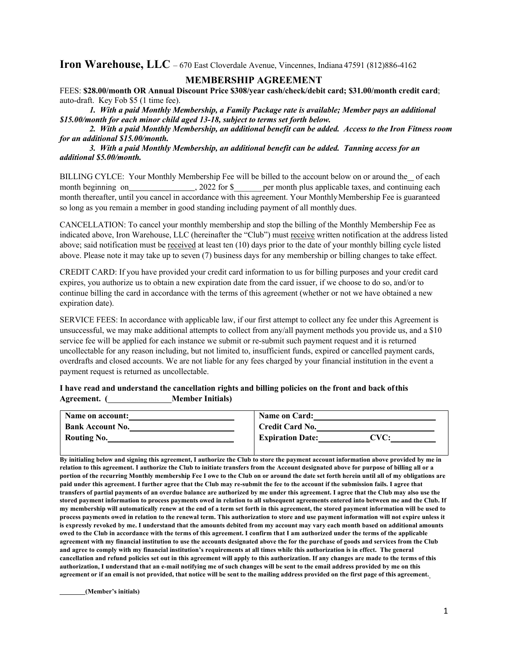**Iron Warehouse, LLC** – 670 East Cloverdale Avenue, Vincennes, Indiana 47591 (812)886-4162

## **MEMBERSHIP AGREEMENT**

FEES: **\$28.00/month OR Annual Discount Price \$308/year cash/check/debit card; \$31.00/month credit card**; auto-draft. Key Fob \$5 (1 time fee).

*1. With a paid Monthly Membership, a Family Package rate is available; Member pays an additional \$15.00/month for each minor child aged 13-18, subject to terms set forth below.*

 *2. With a paid Monthly Membership, an additional benefit can be added. Access to the Iron Fitness room for an additional \$15.00/month.*

 *3. With a paid Monthly Membership, an additional benefit can be added. Tanning access for an additional \$5.00/month.*

BILLING CYLCE: Your Monthly Membership Fee will be billed to the account below on or around the of each month beginning on , 2022 for \$ per month plus applicable taxes, and continuing each month thereafter, until you cancel in accordance with this agreement. Your MonthlyMembership Fee is guaranteed so long as you remain a member in good standing including payment of all monthly dues.

CANCELLATION: To cancel your monthly membership and stop the billing of the Monthly Membership Fee as indicated above, Iron Warehouse, LLC (hereinafter the "Club") must receive written notification at the address listed above; said notification must be received at least ten (10) days prior to the date of your monthly billing cycle listed above. Please note it may take up to seven (7) business days for any membership or billing changes to take effect.

CREDIT CARD: If you have provided your credit card information to us for billing purposes and your credit card expires, you authorize us to obtain a new expiration date from the card issuer, if we choose to do so, and/or to continue billing the card in accordance with the terms of this agreement (whether or not we have obtained a new expiration date).

SERVICE FEES: In accordance with applicable law, if our first attempt to collect any fee under this Agreement is unsuccessful, we may make additional attempts to collect from any/all payment methods you provide us, and a \$10 service fee will be applied for each instance we submit or re-submit such payment request and it is returned uncollectable for any reason including, but not limited to, insufficient funds, expired or cancelled payment cards, overdrafts and closed accounts. We are not liable for any fees charged by your financial institution in the event a payment request is returned as uncollectable.

**I have read and understand the cancellation rights and billing policies on the front and back ofthis Agreement. ( Member Initials)**

| <b>Name on account:</b> | <b>Name on Card:</b>            |
|-------------------------|---------------------------------|
| <b>Bank Account No.</b> | <b>Credit Card No.</b>          |
| <b>Routing No.</b>      | <b>Expiration Date:</b><br>CVC: |

**By initialing below and signing this agreement, I authorize the Club to store the payment account information above provided by me in relation to this agreement. I authorize the Club to initiate transfers from the Account designated above for purpose of billing all or a portion of the recurring Monthly membership Fee I owe to the Club on or around the date set forth herein until all of my obligations are paid under this agreement. I further agree that the Club may re-submit the fee to the account if the submission fails. I agree that transfers of partial payments of an overdue balance are authorized by me under this agreement. I agree that the Club may also use the stored payment information to process payments owed in relation to all subsequent agreements entered into between me and the Club. If my membership will automatically renew at the end of a term set forth in this agreement, the stored payment information will be used to process payments owed in relation to the renewal term. This authorization to store and use payment information will not expire unless it is expressly revoked by me. I understand that the amounts debited from my account may vary each month based on additional amounts owed to the Club in accordance with the terms of this agreement. I confirm that I am authorized under the terms of the applicable agreement with my financial institution to use the accounts designated above the for the purchase of goods and services from the Club and agree to comply with my financial institution's requirements at all times while this authorization is in effect. The general cancellation and refund policies set out in this agreement will apply to this authorization. If any changes are made to the terms of this authorization, I understand that an e-mail notifying me of such changes will be sent to the email address provided by me on this**  agreement or if an email is not provided, that notice will be sent to the mailing address provided on the first page of this agreement.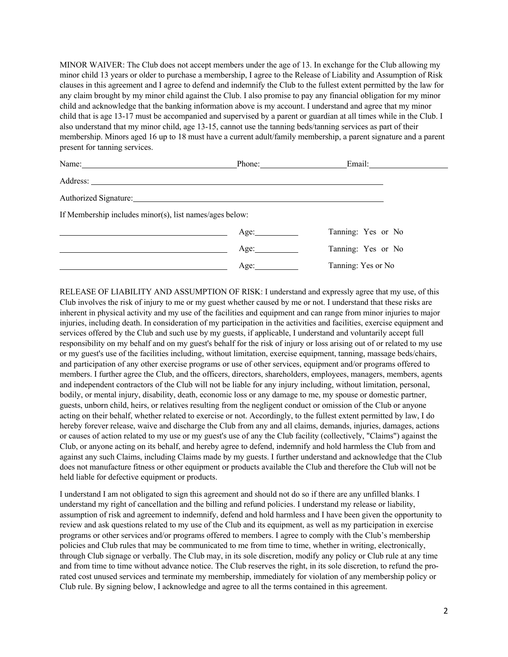MINOR WAIVER: The Club does not accept members under the age of 13. In exchange for the Club allowing my minor child 13 years or older to purchase a membership, I agree to the Release of Liability and Assumption of Risk clauses in this agreement and I agree to defend and indemnify the Club to the fullest extent permitted by the law for any claim brought by my minor child against the Club. I also promise to pay any financial obligation for my minor child and acknowledge that the banking information above is my account. I understand and agree that my minor child that is age 13-17 must be accompanied and supervised by a parent or guardian at all times while in the Club. I also understand that my minor child, age 13-15, cannot use the tanning beds/tanning services as part of their membership. Minors aged 16 up to 18 must have a current adult/family membership, a parent signature and a parent present for tanning services.

| Name: $\frac{1}{\sqrt{1-\frac{1}{2}}\sqrt{1-\frac{1}{2}}\sqrt{1-\frac{1}{2}}\sqrt{1-\frac{1}{2}}\sqrt{1-\frac{1}{2}}\sqrt{1-\frac{1}{2}}\sqrt{1-\frac{1}{2}}\sqrt{1-\frac{1}{2}}\sqrt{1-\frac{1}{2}}\sqrt{1-\frac{1}{2}}\sqrt{1-\frac{1}{2}}\sqrt{1-\frac{1}{2}}\sqrt{1-\frac{1}{2}}\sqrt{1-\frac{1}{2}}\sqrt{1-\frac{1}{2}}\sqrt{1-\frac{1}{2}}\sqrt{1-\frac{1}{2}}\sqrt{1-\frac{1}{2}}\sqrt{1-\frac{1}{2}}$ | Phone: 2008 |                    |
|---------------------------------------------------------------------------------------------------------------------------------------------------------------------------------------------------------------------------------------------------------------------------------------------------------------------------------------------------------------------------------------------------------------|-------------|--------------------|
| Address:                                                                                                                                                                                                                                                                                                                                                                                                      |             |                    |
| Authorized Signature:                                                                                                                                                                                                                                                                                                                                                                                         |             |                    |
| If Membership includes minor(s), list names/ages below:                                                                                                                                                                                                                                                                                                                                                       |             |                    |
|                                                                                                                                                                                                                                                                                                                                                                                                               | Age:        | Tanning: Yes or No |
|                                                                                                                                                                                                                                                                                                                                                                                                               | Age:        | Tanning: Yes or No |
|                                                                                                                                                                                                                                                                                                                                                                                                               | Age:        | Tanning: Yes or No |

RELEASE OF LIABILITY AND ASSUMPTION OF RISK: I understand and expressly agree that my use, of this Club involves the risk of injury to me or my guest whether caused by me or not. I understand that these risks are inherent in physical activity and my use of the facilities and equipment and can range from minor injuries to major injuries, including death. In consideration of my participation in the activities and facilities, exercise equipment and services offered by the Club and such use by my guests, if applicable, I understand and voluntarily accept full responsibility on my behalf and on my guest's behalf for the risk of injury or loss arising out of or related to my use or my guest's use of the facilities including, without limitation, exercise equipment, tanning, massage beds/chairs, and participation of any other exercise programs or use of other services, equipment and/or programs offered to members. I further agree the Club, and the officers, directors, shareholders, employees, managers, members, agents and independent contractors of the Club will not be liable for any injury including, without limitation, personal, bodily, or mental injury, disability, death, economic loss or any damage to me, my spouse or domestic partner, guests, unborn child, heirs, or relatives resulting from the negligent conduct or omission of the Club or anyone acting on their behalf, whether related to exercise or not. Accordingly, to the fullest extent permitted by law, I do hereby forever release, waive and discharge the Club from any and all claims, demands, injuries, damages, actions or causes of action related to my use or my guest's use of any the Club facility (collectively, "Claims") against the Club, or anyone acting on its behalf, and hereby agree to defend, indemnify and hold harmless the Club from and against any such Claims, including Claims made by my guests. I further understand and acknowledge that the Club does not manufacture fitness or other equipment or products available the Club and therefore the Club will not be held liable for defective equipment or products.

I understand I am not obligated to sign this agreement and should not do so if there are any unfilled blanks. I understand my right of cancellation and the billing and refund policies. I understand my release or liability, assumption of risk and agreement to indemnify, defend and hold harmless and I have been given the opportunity to review and ask questions related to my use of the Club and its equipment, as well as my participation in exercise programs or other services and/or programs offered to members. I agree to comply with the Club's membership policies and Club rules that may be communicated to me from time to time, whether in writing, electronically, through Club signage or verbally. The Club may, in its sole discretion, modify any policy or Club rule at any time and from time to time without advance notice. The Club reserves the right, in its sole discretion, to refund the prorated cost unused services and terminate my membership, immediately for violation of any membership policy or Club rule. By signing below, I acknowledge and agree to all the terms contained in this agreement.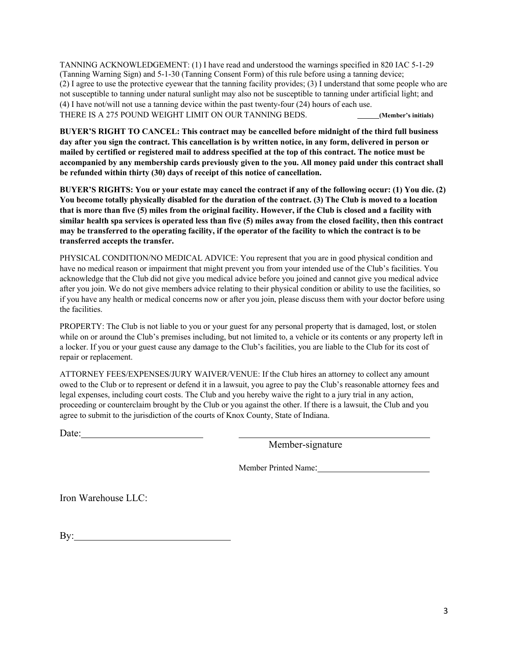TANNING ACKNOWLEDGEMENT: (1) I have read and understood the warnings specified in 820 IAC 5-1-29 (Tanning Warning Sign) and 5-1-30 (Tanning Consent Form) of this rule before using a tanning device; (2) I agree to use the protective eyewear that the tanning facility provides; (3) I understand that some people who are not susceptible to tanning under natural sunlight may also not be susceptible to tanning under artificial light; and (4) I have not/will not use a tanning device within the past twenty-four (24) hours of each use. THERE IS A 275 POUND WEIGHT LIMIT ON OUR TANNING BEDS. **(Member's initials)**

**BUYER'S RIGHT TO CANCEL: This contract may be cancelled before midnight of the third full business day after you sign the contract. This cancellation is by written notice, in any form, delivered in person or mailed by certified or registered mail to address specified at the top of this contract. The notice must be accompanied by any membership cards previously given to the you. All money paid under this contract shall be refunded within thirty (30) days of receipt of this notice of cancellation.**

**BUYER'S RIGHTS: You or your estate may cancel the contract if any of the following occur: (1) You die. (2) You become totally physically disabled for the duration of the contract. (3) The Club is moved to a location that is more than five (5) miles from the original facility. However, if the Club is closed and a facility with similar health spa services is operated less than five (5) miles away from the closed facility, then this contract may be transferred to the operating facility, if the operator of the facility to which the contract is to be transferred accepts the transfer.**

PHYSICAL CONDITION/NO MEDICAL ADVICE: You represent that you are in good physical condition and have no medical reason or impairment that might prevent you from your intended use of the Club's facilities. You acknowledge that the Club did not give you medical advice before you joined and cannot give you medical advice after you join. We do not give members advice relating to their physical condition or ability to use the facilities, so if you have any health or medical concerns now or after you join, please discuss them with your doctor before using the facilities.

PROPERTY: The Club is not liable to you or your guest for any personal property that is damaged, lost, or stolen while on or around the Club's premises including, but not limited to, a vehicle or its contents or any property left in a locker. If you or your guest cause any damage to the Club's facilities, you are liable to the Club for its cost of repair or replacement.

ATTORNEY FEES/EXPENSES/JURY WAIVER/VENUE: If the Club hires an attorney to collect any amount owed to the Club or to represent or defend it in a lawsuit, you agree to pay the Club's reasonable attorney fees and legal expenses, including court costs. The Club and you hereby waive the right to a jury trial in any action, proceeding or counterclaim brought by the Club or you against the other. If there is a lawsuit, the Club and you agree to submit to the jurisdiction of the courts of Knox County, State of Indiana.

Date:

Member-signature

Member Printed Name:

Iron Warehouse LLC:

By: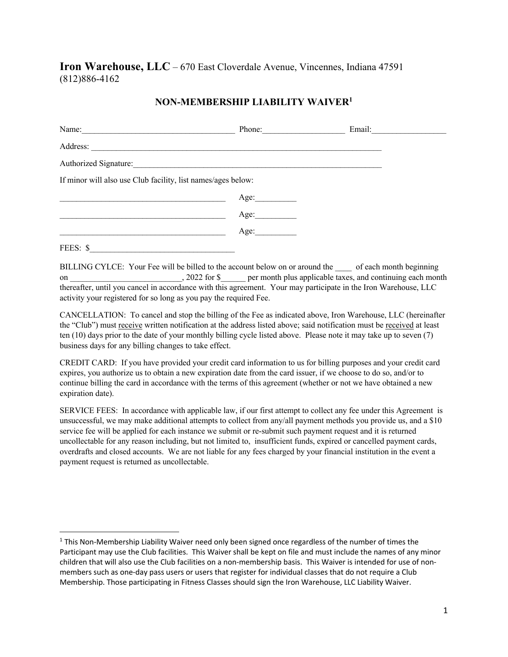**Iron Warehouse, LLC** – 670 East Cloverdale Avenue, Vincennes, Indiana 47591 (812)886-4162

## **NON-MEMBERSHIP LIABILITY WAIVER1**

| Name:                                                        | Phone: | Email: |
|--------------------------------------------------------------|--------|--------|
| Address:                                                     |        |        |
| Authorized Signature:                                        |        |        |
| If minor will also use Club facility, list names/ages below: |        |        |
|                                                              | Age:   |        |
|                                                              | Age:   |        |
|                                                              | Age:   |        |
| FEES: \$                                                     |        |        |

BILLING CYLCE: Your Fee will be billed to the account below on or around the \_\_\_\_ of each month beginning on \_\_\_\_\_\_\_\_\_\_\_\_\_\_\_\_\_\_\_\_\_\_\_, 2022 for \$\_\_\_\_\_ per month plus applicable taxes, and continuing each month thereafter, until you cancel in accordance with this agreement. Your may participate in the Iron Warehouse, LLC activity your registered for so long as you pay the required Fee.

CANCELLATION: To cancel and stop the billing of the Fee as indicated above, Iron Warehouse, LLC (hereinafter the "Club") must receive written notification at the address listed above; said notification must be received at least ten (10) days prior to the date of your monthly billing cycle listed above. Please note it may take up to seven (7) business days for any billing changes to take effect.

CREDIT CARD: If you have provided your credit card information to us for billing purposes and your credit card expires, you authorize us to obtain a new expiration date from the card issuer, if we choose to do so, and/or to continue billing the card in accordance with the terms of this agreement (whether or not we have obtained a new expiration date).

SERVICE FEES: In accordance with applicable law, if our first attempt to collect any fee under this Agreement is unsuccessful, we may make additional attempts to collect from any/all payment methods you provide us, and a \$10 service fee will be applied for each instance we submit or re-submit such payment request and it is returned uncollectable for any reason including, but not limited to, insufficient funds, expired or cancelled payment cards, overdrafts and closed accounts. We are not liable for any fees charged by your financial institution in the event a payment request is returned as uncollectable.

<sup>&</sup>lt;sup>1</sup> This Non-Membership Liability Waiver need only been signed once regardless of the number of times the Participant may use the Club facilities. This Waiver shall be kept on file and must include the names of any minor children that will also use the Club facilities on a non-membership basis. This Waiver is intended for use of nonmembers such as one-day pass users or users that register for individual classes that do not require a Club Membership. Those participating in Fitness Classes should sign the Iron Warehouse, LLC Liability Waiver.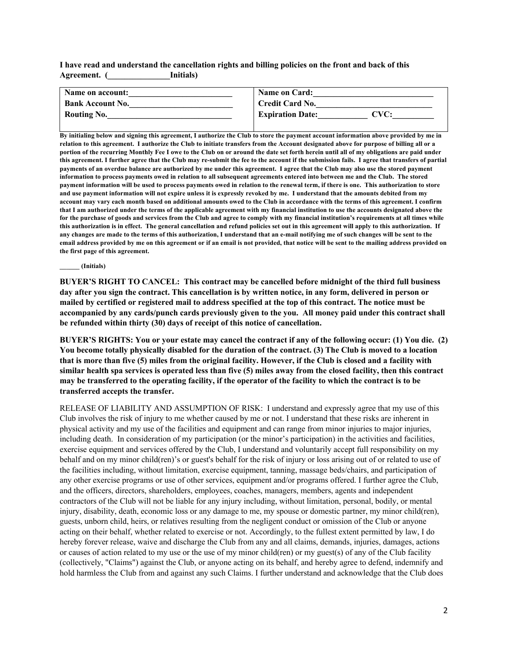**I have read and understand the cancellation rights and billing policies on the front and back of this Agreement. (\_\_\_\_\_\_\_\_\_\_\_\_\_\_\_Initials)**

| Name on account:        | Name on Card:                                                          |
|-------------------------|------------------------------------------------------------------------|
| <b>Bank Account No.</b> | <b>Credit Card No.</b>                                                 |
| <b>Routing No.</b>      | <b>Expiration Date:</b><br>$\boldsymbol{\Gamma}\mathbf{V}\mathbf{C}$ : |

**By initialing below and signing this agreement, I authorize the Club to store the payment account information above provided by me in relation to this agreement. I authorize the Club to initiate transfers from the Account designated above for purpose of billing all or a portion of the recurring Monthly Fee I owe to the Club on or around the date set forth herein until all of my obligations are paid under this agreement. I further agree that the Club may re-submit the fee to the account if the submission fails. I agree that transfers of partial payments of an overdue balance are authorized by me under this agreement. I agree that the Club may also use the stored payment information to process payments owed in relation to all subsequent agreements entered into between me and the Club. The stored payment information will be used to process payments owed in relation to the renewal term, if there is one. This authorization to store and use payment information will not expire unless it is expressly revoked by me. I understand that the amounts debited from my account may vary each month based on additional amounts owed to the Club in accordance with the terms of this agreement. I confirm that I am authorized under the terms of the applicable agreement with my financial institution to use the accounts designated above the for the purchase of goods and services from the Club and agree to comply with my financial institution's requirements at all times while this authorization is in effect. The general cancellation and refund policies set out in this agreement will apply to this authorization. If any changes are made to the terms of this authorization, I understand that an e-mail notifying me of such changes will be sent to the email address provided by me on this agreement or if an email is not provided, that notice will be sent to the mailing address provided on the first page of this agreement.**

**\_\_\_\_\_\_ (Initials)**

**BUYER'S RIGHT TO CANCEL: This contract may be cancelled before midnight of the third full business day after you sign the contract. This cancellation is by written notice, in any form, delivered in person or mailed by certified or registered mail to address specified at the top of this contract. The notice must be accompanied by any cards/punch cards previously given to the you. All money paid under this contract shall be refunded within thirty (30) days of receipt of this notice of cancellation.**

**BUYER'S RIGHTS: You or your estate may cancel the contract if any of the following occur: (1) You die. (2) You become totally physically disabled for the duration of the contract. (3) The Club is moved to a location that is more than five (5) miles from the original facility. However, if the Club is closed and a facility with similar health spa services is operated less than five (5) miles away from the closed facility, then this contract may be transferred to the operating facility, if the operator of the facility to which the contract is to be transferred accepts the transfer.**

RELEASE OF LIABILITY AND ASSUMPTION OF RISK: I understand and expressly agree that my use of this Club involves the risk of injury to me whether caused by me or not. I understand that these risks are inherent in physical activity and my use of the facilities and equipment and can range from minor injuries to major injuries, including death. In consideration of my participation (or the minor's participation) in the activities and facilities, exercise equipment and services offered by the Club, I understand and voluntarily accept full responsibility on my behalf and on my minor child(ren)'s or guest's behalf for the risk of injury or loss arising out of or related to use of the facilities including, without limitation, exercise equipment, tanning, massage beds/chairs, and participation of any other exercise programs or use of other services, equipment and/or programs offered. I further agree the Club, and the officers, directors, shareholders, employees, coaches, managers, members, agents and independent contractors of the Club will not be liable for any injury including, without limitation, personal, bodily, or mental injury, disability, death, economic loss or any damage to me, my spouse or domestic partner, my minor child(ren), guests, unborn child, heirs, or relatives resulting from the negligent conduct or omission of the Club or anyone acting on their behalf, whether related to exercise or not. Accordingly, to the fullest extent permitted by law, I do hereby forever release, waive and discharge the Club from any and all claims, demands, injuries, damages, actions or causes of action related to my use or the use of my minor child(ren) or my guest(s) of any of the Club facility (collectively, "Claims") against the Club, or anyone acting on its behalf, and hereby agree to defend, indemnify and hold harmless the Club from and against any such Claims. I further understand and acknowledge that the Club does